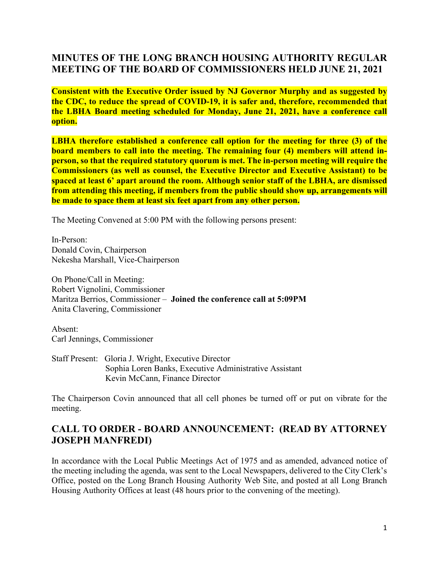# **MINUTES OF THE LONG BRANCH HOUSING AUTHORITY REGULAR MEETING OF THE BOARD OF COMMISSIONERS HELD JUNE 21, 2021**

**Consistent with the Executive Order issued by NJ Governor Murphy and as suggested by the CDC, to reduce the spread of COVID-19, it is safer and, therefore, recommended that the LBHA Board meeting scheduled for Monday, June 21, 2021, have a conference call option.**

**LBHA therefore established a conference call option for the meeting for three (3) of the board members to call into the meeting. The remaining four (4) members will attend inperson, so that the required statutory quorum is met. The in-person meeting will require the Commissioners (as well as counsel, the Executive Director and Executive Assistant) to be spaced at least 6' apart around the room. Although senior staff of the LBHA, are dismissed from attending this meeting, if members from the public should show up, arrangements will be made to space them at least six feet apart from any other person.**

The Meeting Convened at 5:00 PM with the following persons present:

In-Person: Donald Covin, Chairperson Nekesha Marshall, Vice-Chairperson

On Phone/Call in Meeting: Robert Vignolini, Commissioner Maritza Berrios, Commissioner – **Joined the conference call at 5:09PM** Anita Clavering, Commissioner

Absent: Carl Jennings, Commissioner

Staff Present: Gloria J. Wright, Executive Director Sophia Loren Banks, Executive Administrative Assistant Kevin McCann, Finance Director

The Chairperson Covin announced that all cell phones be turned off or put on vibrate for the meeting.

## **CALL TO ORDER - BOARD ANNOUNCEMENT: (READ BY ATTORNEY JOSEPH MANFREDI)**

In accordance with the Local Public Meetings Act of 1975 and as amended, advanced notice of the meeting including the agenda, was sent to the Local Newspapers, delivered to the City Clerk's Office, posted on the Long Branch Housing Authority Web Site, and posted at all Long Branch Housing Authority Offices at least (48 hours prior to the convening of the meeting).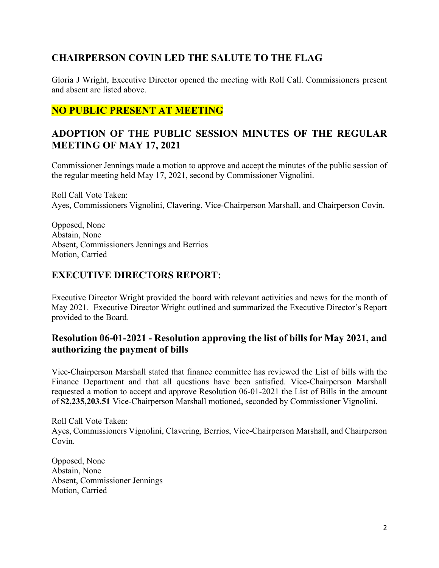# **CHAIRPERSON COVIN LED THE SALUTE TO THE FLAG**

Gloria J Wright, Executive Director opened the meeting with Roll Call. Commissioners present and absent are listed above.

# **NO PUBLIC PRESENT AT MEETING**

## **ADOPTION OF THE PUBLIC SESSION MINUTES OF THE REGULAR MEETING OF MAY 17, 2021**

Commissioner Jennings made a motion to approve and accept the minutes of the public session of the regular meeting held May 17, 2021, second by Commissioner Vignolini.

Roll Call Vote Taken: Ayes, Commissioners Vignolini, Clavering, Vice-Chairperson Marshall, and Chairperson Covin.

Opposed, None Abstain, None Absent, Commissioners Jennings and Berrios Motion, Carried

#### **EXECUTIVE DIRECTORS REPORT:**

Executive Director Wright provided the board with relevant activities and news for the month of May 2021. Executive Director Wright outlined and summarized the Executive Director's Report provided to the Board.

#### **Resolution 06-01-2021 - Resolution approving the list of bills for May 2021, and authorizing the payment of bills**

Vice-Chairperson Marshall stated that finance committee has reviewed the List of bills with the Finance Department and that all questions have been satisfied. Vice-Chairperson Marshall requested a motion to accept and approve Resolution 06-01-2021 the List of Bills in the amount of **\$2,235,203.51** Vice-Chairperson Marshall motioned, seconded by Commissioner Vignolini.

Roll Call Vote Taken: Ayes, Commissioners Vignolini, Clavering, Berrios, Vice-Chairperson Marshall, and Chairperson Covin.

Opposed, None Abstain, None Absent, Commissioner Jennings Motion, Carried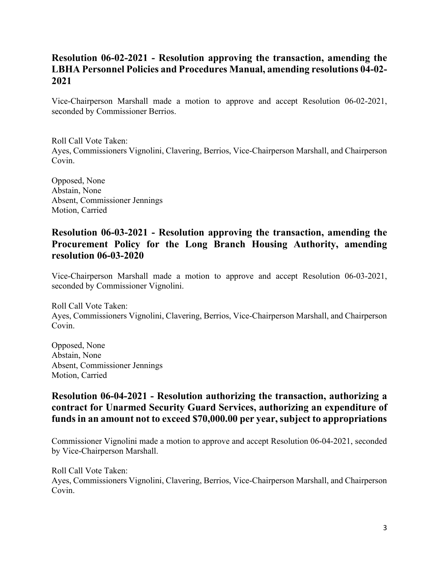## **Resolution 06-02-2021 - Resolution approving the transaction, amending the LBHA Personnel Policies and Procedures Manual, amending resolutions 04-02- 2021**

Vice-Chairperson Marshall made a motion to approve and accept Resolution 06-02-2021, seconded by Commissioner Berrios.

Roll Call Vote Taken: Ayes, Commissioners Vignolini, Clavering, Berrios, Vice-Chairperson Marshall, and Chairperson Covin.

Opposed, None Abstain, None Absent, Commissioner Jennings Motion, Carried

## **Resolution 06-03-2021 - Resolution approving the transaction, amending the Procurement Policy for the Long Branch Housing Authority, amending resolution 06-03-2020**

Vice-Chairperson Marshall made a motion to approve and accept Resolution 06-03-2021, seconded by Commissioner Vignolini.

Roll Call Vote Taken: Ayes, Commissioners Vignolini, Clavering, Berrios, Vice-Chairperson Marshall, and Chairperson Covin.

Opposed, None Abstain, None Absent, Commissioner Jennings Motion, Carried

# **Resolution 06-04-2021 - Resolution authorizing the transaction, authorizing a contract for Unarmed Security Guard Services, authorizing an expenditure of funds in an amount not to exceed \$70,000.00 per year, subject to appropriations**

Commissioner Vignolini made a motion to approve and accept Resolution 06-04-2021, seconded by Vice-Chairperson Marshall.

Roll Call Vote Taken: Ayes, Commissioners Vignolini, Clavering, Berrios, Vice-Chairperson Marshall, and Chairperson Covin.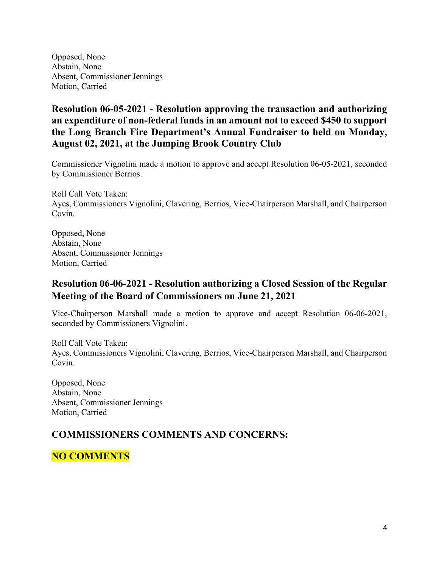Opposed, None Abstain, None Absent, Commissioner Jennings Motion, Carried

# **Resolution 06-05-2021 - Resolution approving the transaction and authorizing an expenditure of non-federal funds in an amount not to exceed \$450 to support the Long Branch Fire Department's Annual Fundraiser to held on Monday, August 02, 2021, at the Jumping Brook Country Club**

Commissioner Vignolini made a motion to approve and accept Resolution 06-05-2021, seconded by Commissioner Berrios.

Roll Call Vote Taken: Ayes, Commissioners Vignolini, Clavering, Berrios, Vice-Chairperson Marshall, and Chairperson Covin.

Opposed, None Abstain, None Absent, Commissioner Jennings Motion, Carried

## **Resolution 06-06-2021 - Resolution authorizing a Closed Session of the Regular Meeting of the Board of Commissioners on June 21, 2021**

Vice-Chairperson Marshall made a motion to approve and accept Resolution 06-06-2021, seconded by Commissioners Vignolini.

Roll Call Vote Taken: Ayes, Commissioners Vignolini, Clavering, Berrios, Vice-Chairperson Marshall, and Chairperson Covin.

Opposed, None Abstain, None Absent, Commissioner Jennings Motion, Carried

# **COMMISSIONERS COMMENTS AND CONCERNS:**

**NO COMMENTS**